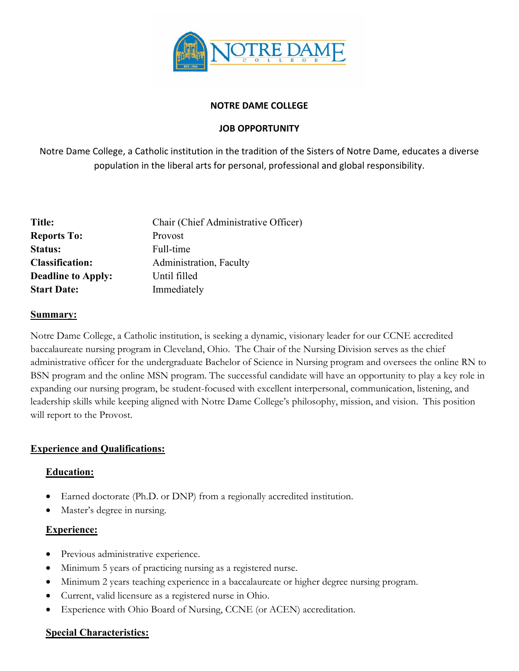

#### **NOTRE DAME COLLEGE**

## **JOB OPPORTUNITY**

Notre Dame College, a Catholic institution in the tradition of the Sisters of Notre Dame, educates a diverse population in the liberal arts for personal, professional and global responsibility.

| Title:                    | Chair (Chief Administrative Officer) |
|---------------------------|--------------------------------------|
| <b>Reports To:</b>        | Provost                              |
| <b>Status:</b>            | Full-time                            |
| <b>Classification:</b>    | Administration, Faculty              |
| <b>Deadline to Apply:</b> | Until filled                         |
| <b>Start Date:</b>        | Immediately                          |

#### **Summary:**

Notre Dame College, a Catholic institution, is seeking a dynamic, visionary leader for our CCNE accredited baccalaureate nursing program in Cleveland, Ohio. The Chair of the Nursing Division serves as the chief administrative officer for the undergraduate Bachelor of Science in Nursing program and oversees the online RN to BSN program and the online MSN program. The successful candidate will have an opportunity to play a key role in expanding our nursing program, be student-focused with excellent interpersonal, communication, listening, and leadership skills while keeping aligned with Notre Dame College's philosophy, mission, and vision. This position will report to the Provost.

## **Experience and Qualifications:**

## **Education:**

- Earned doctorate (Ph.D. or DNP) from a regionally accredited institution.
- Master's degree in nursing.

# **Experience:**

- Previous administrative experience.
- Minimum 5 years of practicing nursing as a registered nurse.
- Minimum 2 years teaching experience in a baccalaureate or higher degree nursing program.
- Current, valid licensure as a registered nurse in Ohio.
- Experience with Ohio Board of Nursing, CCNE (or ACEN) accreditation.

## **Special Characteristics:**